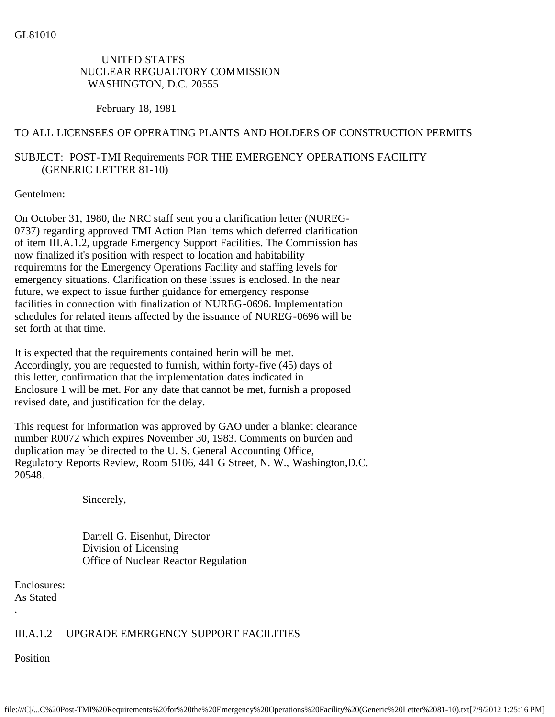## UNITED STATES NUCLEAR REGUALTORY COMMISSION WASHINGTON, D.C. 20555

#### February 18, 1981

### TO ALL LICENSEES OF OPERATING PLANTS AND HOLDERS OF CONSTRUCTION PERMITS

# SUBJECT: POST-TMI Requirements FOR THE EMERGENCY OPERATIONS FACILITY (GENERIC LETTER 81-10)

#### Gentelmen:

On October 31, 1980, the NRC staff sent you a clarification letter (NUREG-0737) regarding approved TMI Action Plan items which deferred clarification of item III.A.1.2, upgrade Emergency Support Facilities. The Commission has now finalized it's position with respect to location and habitability requiremtns for the Emergency Operations Facility and staffing levels for emergency situations. Clarification on these issues is enclosed. In the near future, we expect to issue further guidance for emergency response facilities in connection with finalization of NUREG-0696. Implementation schedules for related items affected by the issuance of NUREG-0696 will be set forth at that time.

It is expected that the requirements contained herin will be met. Accordingly, you are requested to furnish, within forty-five (45) days of this letter, confirmation that the implementation dates indicated in Enclosure 1 will be met. For any date that cannot be met, furnish a proposed revised date, and justification for the delay.

This request for information was approved by GAO under a blanket clearance number R0072 which expires November 30, 1983. Comments on burden and duplication may be directed to the U. S. General Accounting Office, Regulatory Reports Review, Room 5106, 441 G Street, N. W., Washington,D.C. 20548.

Sincerely,

 Darrell G. Eisenhut, Director Division of Licensing Office of Nuclear Reactor Regulation

Enclosures: As Stated

### III.A.1.2 UPGRADE EMERGENCY SUPPORT FACILITIES

Position

.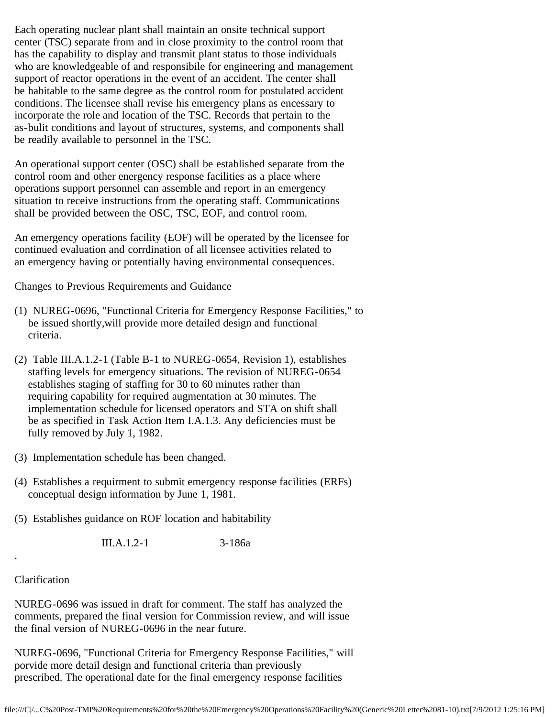Each operating nuclear plant shall maintain an onsite technical support center (TSC) separate from and in close proximity to the control room that has the capability to display and transmit plant status to those individuals who are knowledgeable of and responsibile for engineering and management support of reactor operations in the event of an accident. The center shall be habitable to the same degree as the control room for postulated accident conditions. The licensee shall revise his emergency plans as encessary to incorporate the role and location of the TSC. Records that pertain to the as-bulit conditions and layout of structures, systems, and components shall be readily available to personnel in the TSC.

An operational support center (OSC) shall be established separate from the control room and other energency response facilities as a place where operations support personnel can assemble and report in an emergency situation to receive instructions from the operating staff. Communications shall be provided between the OSC, TSC, EOF, and control room.

An emergency operations facility (EOF) will be operated by the licensee for continued evaluation and corrdination of all licensee activities related to an emergency having or potentially having environmental consequences.

Changes to Previous Requirements and Guidance

- (1) NUREG-0696, "Functional Criteria for Emergency Response Facilities," to be issued shortly,will provide more detailed design and functional criteria.
- (2) Table III.A.1.2-1 (Table B-1 to NUREG-0654, Revision 1), establishes staffing levels for emergency situations. The revision of NUREG-0654 establishes staging of staffing for 30 to 60 minutes rather than requiring capability for required augmentation at 30 minutes. The implementation schedule for licensed operators and STA on shift shall be as specified in Task Action Item I.A.1.3. Any deficiencies must be fully removed by July 1, 1982.
- (3) Implementation schedule has been changed.
- (4) Establishes a requirment to submit emergency response facilities (ERFs) conceptual design information by June 1, 1981.
- (5) Establishes guidance on ROF location and habitability

III.A.1.2-1 3-186a

#### Clarification

.

NUREG-0696 was issued in draft for comment. The staff has analyzed the comments, prepared the final version for Commission review, and will issue the final version of NUREG-0696 in the near future.

NUREG-0696, "Functional Criteria for Emergency Response Facilities," will porvide more detail design and functional criteria than previously prescribed. The operational date for the final emergency response facilities